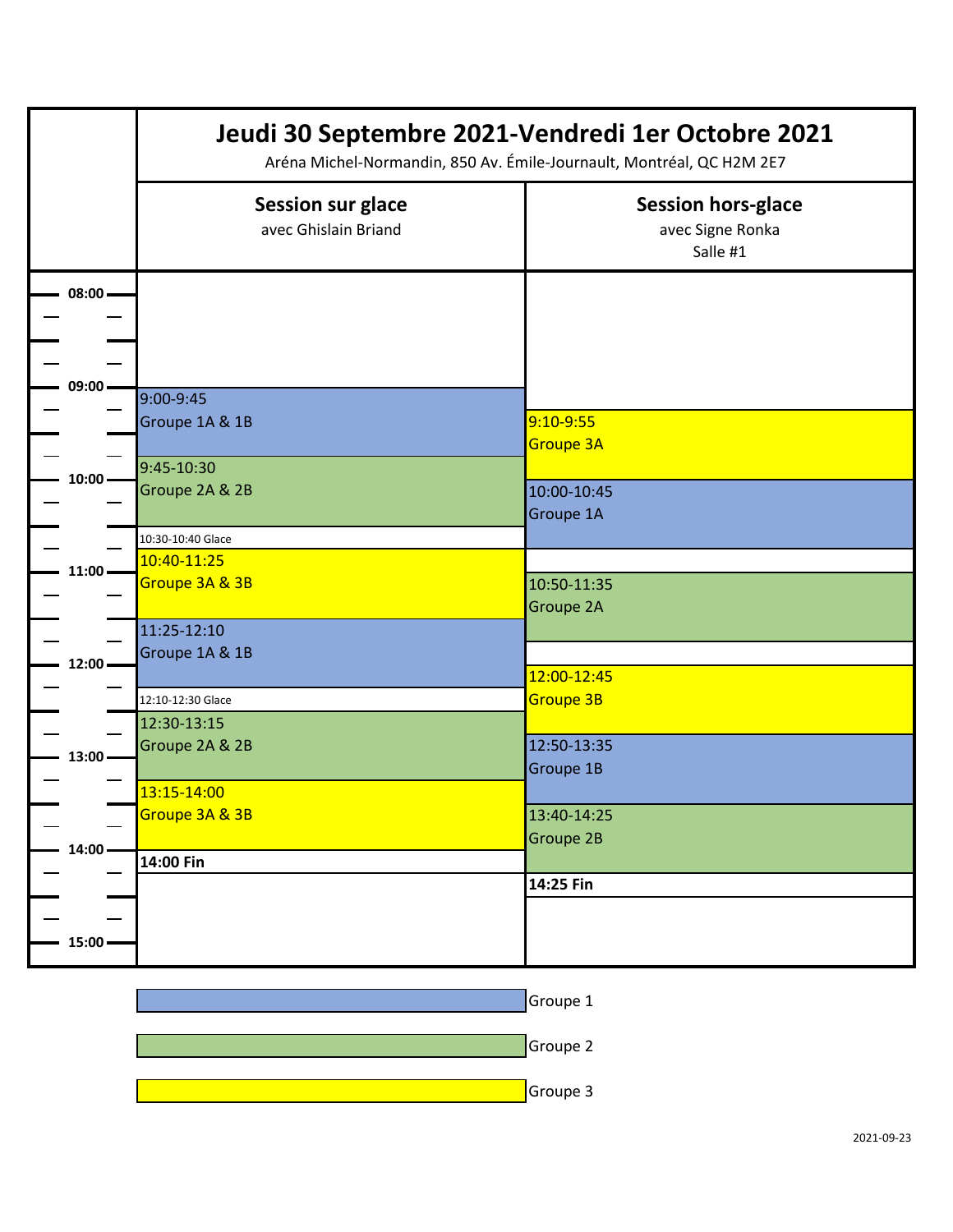|           | Jeudi 30 Septembre 2021-Vendredi 1er Octobre 2021<br>Aréna Michel-Normandin, 850 Av. Émile-Journault, Montréal, QC H2M 2E7 |                                                           |
|-----------|----------------------------------------------------------------------------------------------------------------------------|-----------------------------------------------------------|
|           | <b>Session sur glace</b><br>avec Ghislain Briand                                                                           | <b>Session hors-glace</b><br>avec Signe Ronka<br>Salle #1 |
| $08:00 -$ |                                                                                                                            |                                                           |
| 09:00     | 9:00-9:45<br>Groupe 1A & 1B                                                                                                | 9:10-9:55<br><b>Groupe 3A</b>                             |
| $10:00 -$ | 9:45-10:30<br>Groupe 2A & 2B                                                                                               | 10:00-10:45<br>Groupe 1A                                  |
| $11:00 -$ | 10:30-10:40 Glace<br>10:40-11:25<br>Groupe 3A & 3B                                                                         | 10:50-11:35<br>Groupe 2A                                  |
| 12:00     | 11:25-12:10<br>Groupe 1A & 1B                                                                                              | 12:00-12:45                                               |
| $13:00 -$ | 12:10-12:30 Glace<br>12:30-13:15<br>Groupe 2A & 2B                                                                         | Groupe 3B<br>12:50-13:35<br>Groupe 1B                     |
| $14:00 -$ | 13:15-14:00<br>Groupe 3A & 3B                                                                                              | 13:40-14:25<br>Groupe 2B                                  |
| $15:00 -$ | 14:00 Fin                                                                                                                  | 14:25 Fin                                                 |

| Groupe 1 |  |
|----------|--|
| Groupe 2 |  |
| Groupe 3 |  |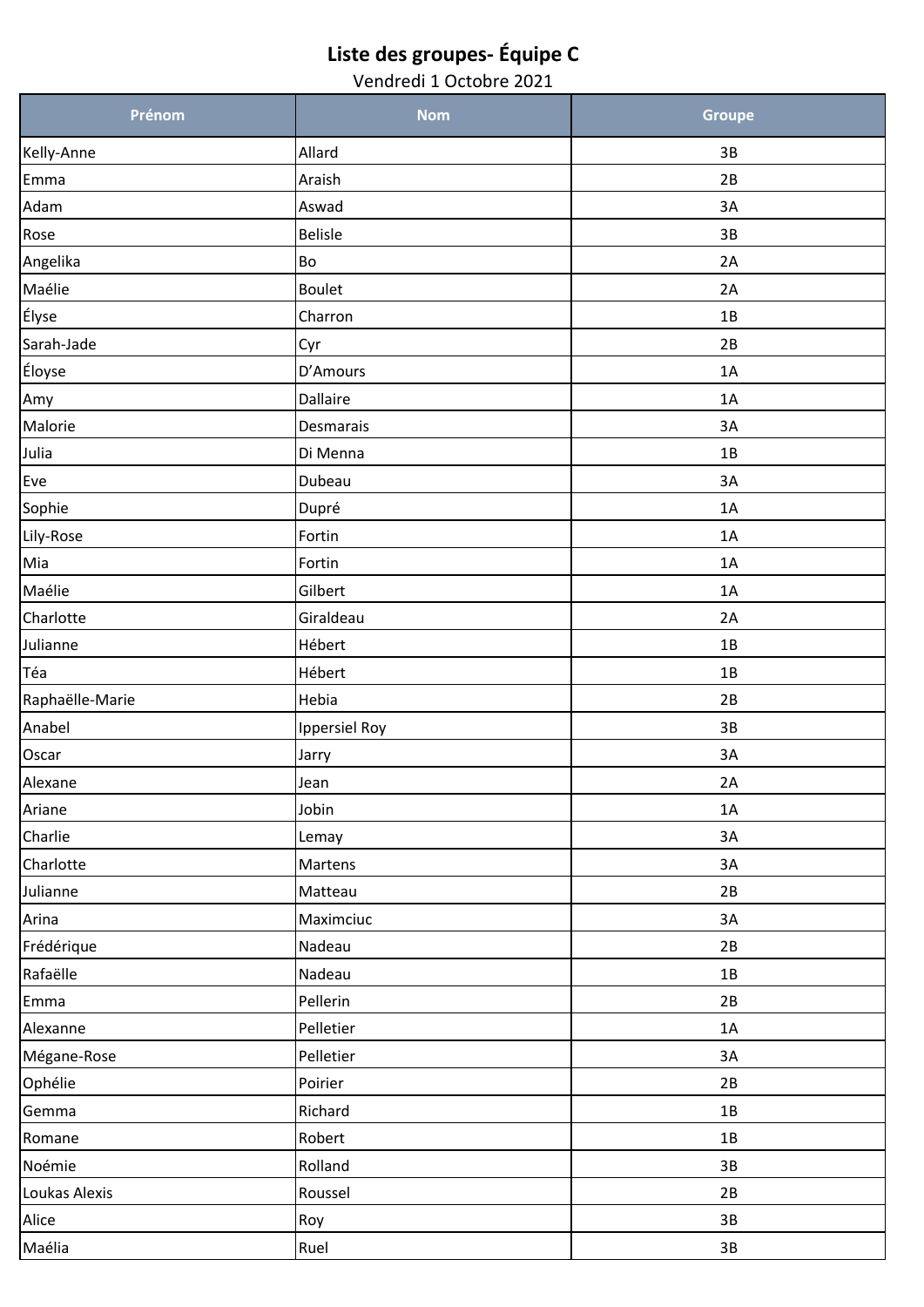## **Liste des groupes- Équipe C**

Vendredi 1 Octobre 2021

| Prénom          | <b>Nom</b>           | <b>Groupe</b> |
|-----------------|----------------------|---------------|
| Kelly-Anne      | Allard               | 3B            |
| Emma            | Araish               | 2B            |
| Adam            | Aswad                | 3A            |
| Rose            | <b>Belisle</b>       | 3B            |
| Angelika        | <b>Bo</b>            | 2A            |
| Maélie          | <b>Boulet</b>        | 2A            |
| Élyse           | Charron              | 1B            |
| Sarah-Jade      | Cyr                  | 2B            |
| Éloyse          | D'Amours             | 1A            |
| Amy             | Dallaire             | 1A            |
| Malorie         | Desmarais            | 3A            |
| Julia           | Di Menna             | 1B            |
| Eve             | Dubeau               | 3A            |
| Sophie          | Dupré                | 1A            |
| Lily-Rose       | Fortin               | 1A            |
| Mia             | Fortin               | 1A            |
| Maélie          | Gilbert              | 1A            |
| Charlotte       | Giraldeau            | 2A            |
| Julianne        | Hébert               | 1B            |
| Téa             | Hébert               | 1B            |
| Raphaëlle-Marie | Hebia                | 2B            |
| Anabel          | <b>Ippersiel Roy</b> | 3B            |
| Oscar           | Jarry                | 3A            |
| Alexane         | Jean                 | 2A            |
| Ariane          | Jobin                | 1A            |
| Charlie         | Lemay                | 3A            |
| Charlotte       | Martens              | 3A            |
| Julianne        | Matteau              | 2B            |
| Arina           | Maximciuc            | 3A            |
| Frédérique      | Nadeau               | 2B            |
| Rafaëlle        | Nadeau               | $1B$          |
| Emma            | Pellerin             | 2B            |
| Alexanne        | Pelletier            | 1A            |
| Mégane-Rose     | Pelletier            | 3A            |
| Ophélie         | Poirier              | 2B            |
| Gemma           | Richard              | 1B            |
| Romane          | Robert               | $1B$          |
| Noémie          | Rolland              | 3B            |
| Loukas Alexis   | Roussel              | 2B            |
| Alice           | Roy                  | $3B$          |
| Maélia          | Ruel                 | 3B            |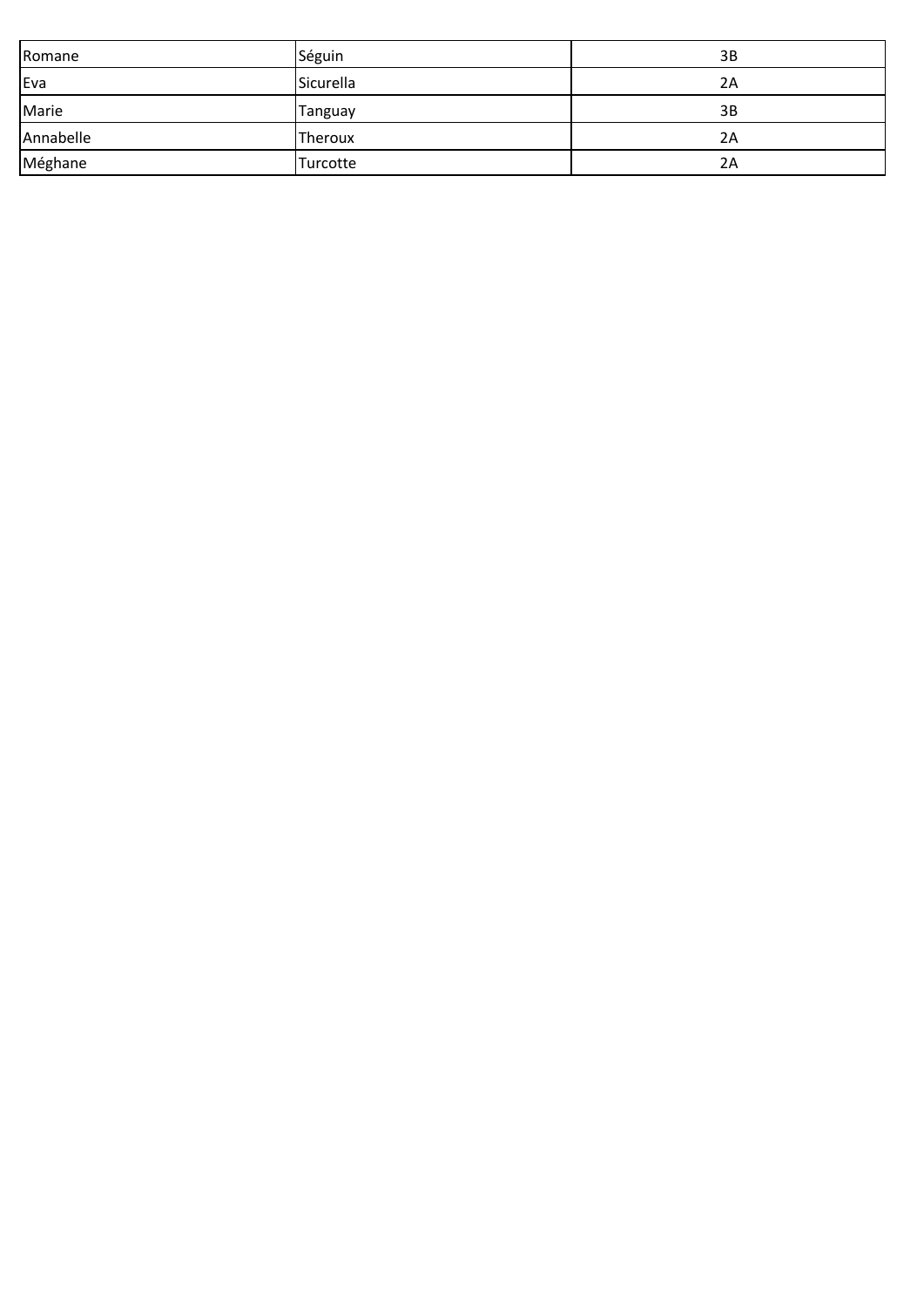| Romane    | Séguin    | 3B |
|-----------|-----------|----|
| Eva       | Sicurella | 2Α |
| Marie     | Tanguay   | 3B |
| Annabelle | Theroux   | 2Α |
| Méghane   | Turcotte  | 2Α |